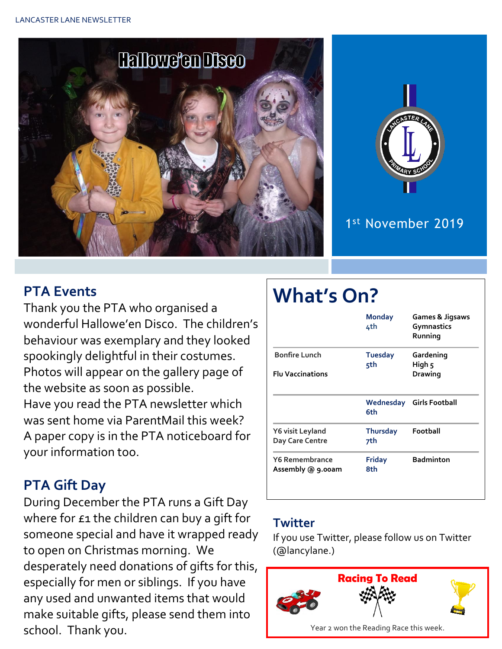



1 st November 2019

## **PTA Events**

Thank you the PTA who organised a wonderful Hallowe'en Disco. The children's behaviour was exemplary and they looked spookingly delightful in their costumes. Photos will appear on the gallery page of the website as soon as possible. Have you read the PTA newsletter which was sent home via ParentMail this week? A paper copy is in the PTA noticeboard for your information too.

#### **PTA Gift Day**

During December the PTA runs a Gift Day where for  $f_1$  the children can buy a gift for someone special and have it wrapped ready to open on Christmas morning. We desperately need donations of gifts for this, especially for men or siblings. If you have any used and unwanted items that would make suitable gifts, please send them into school. Thank you.

# **What's On?**

|                                                 | <b>Monday</b><br>4th   | <b>Games &amp; Jigsaws</b><br><b>Gymnastics</b><br>Running |  |
|-------------------------------------------------|------------------------|------------------------------------------------------------|--|
| <b>Bonfire Lunch</b><br><b>Flu Vaccinations</b> | <b>Tuesday</b><br>5th  | Gardening<br>High 5<br>Drawing                             |  |
|                                                 | Wednesday<br>6th       | <b>Girls Football</b>                                      |  |
| Y6 visit Leyland<br>Day Care Centre             | <b>Thursday</b><br>7th | Football                                                   |  |
| <b>Y6 Remembrance</b><br>Assembly @ 9.00am      | <b>Friday</b><br>8th   | <b>Badminton</b>                                           |  |

#### **Twitter**

If you use Twitter, please follow us on Twitter (@lancylane.)

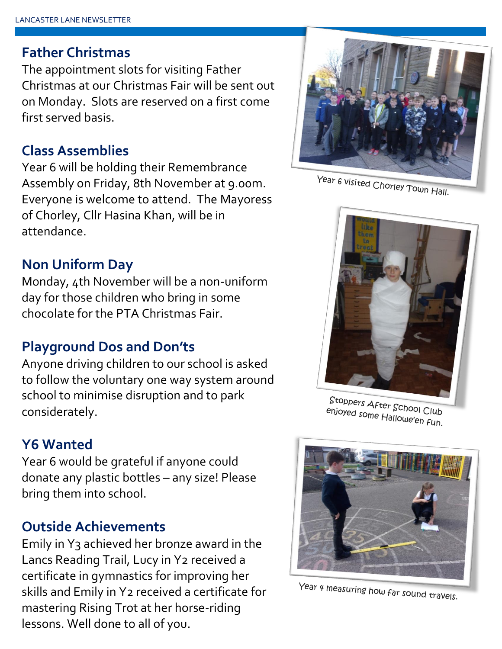#### **Father Christmas**

The appointment slots for visiting Father Christmas at our Christmas Fair will be sent out on Monday. Slots are reserved on a first come first served basis.

#### **Class Assemblies**

Year 6 will be holding their Remembrance Assembly on Friday, 8th November at 9.00m. Everyone is welcome to attend. The Mayoress of Chorley, Cllr Hasina Khan, will be in attendance.

### **Non Uniform Day**

Monday, 4th November will be a non-uniform day for those children who bring in some chocolate for the PTA Christmas Fair.

#### **Playground Dos and Don'ts**

Anyone driving children to our school is asked to follow the voluntary one way system around school to minimise disruption and to park considerately.

#### **Y6 Wanted**

Year 6 would be grateful if anyone could donate any plastic bottles – any size! Please bring them into school.

#### **Outside Achievements**

Emily in Y3 achieved her bronze award in the Lancs Reading Trail, Lucy in Y2 received a certificate in gymnastics for improving her skills and Emily in Y2 received a certificate for mastering Rising Trot at her horse-riding lessons. Well done to all of you.



Year 6 visited Chorley Town Hall.



Stoppers After School Club<br>Phjoyed some Hallow Club enjoyed some Hallowe'en Fun.<br>Enjoyed some Hallowe'en Fun.



Year 4 measuring how far sound travels.